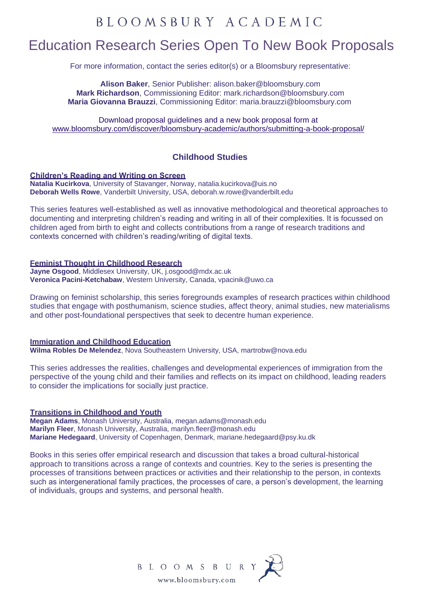# Education Research Series Open To New Book Proposals

For more information, contact the series editor(s) or a Bloomsbury representative:

**Alison Baker**, Senior Publisher: [alison.baker@bloomsbury.com](mailto:alison.baker@bloomsbury.com) **Mark Richardson**, Commissioning Editor: [mark.richardson@bloomsbury.com](mailto:mark.richardson@bloomsbury.com) **Maria Giovanna Brauzzi**, Commissioning Editor: [maria.brauzzi@bloomsbury.com](mailto:maria.brauzzi@bloomsbury.com)

Download proposal guidelines and a new book proposal form at [www.bloomsbury.com/discover/bloomsbury-academic/authors/submitting-a-book-proposal/](http://www.bloomsbury.com/discover/bloomsbury-academic/authors/submitting-a-book-proposal/)

## **Childhood Studies**

### **Children's Reading and Writing on Screen**

**Natalia Kucirkova**, University of Stavanger, Norway, [natalia.kucirkova@uis.no](mailto:natalia.kucirkova@uis.no) **Deborah Wells Rowe**, Vanderbilt University, USA, [deborah.w.rowe@vanderbilt.edu](mailto:deborah.w.rowe@vanderbilt.edu)

This series features well-established as well as innovative methodological and theoretical approaches to documenting and interpreting children's reading and writing in all of their complexities. It is focussed on children aged from birth to eight and collects contributions from a range of research traditions and contexts concerned with children's reading/writing of digital texts.

### **Feminist Thought in Childhood Research**

**Jayne Osgood**, Middlesex University, UK, [j.osgood@mdx.ac.uk](mailto:j.osgood@mdx.ac.uk) **Veronica Pacini-Ketchabaw**, Western University, Canada[, vpacinik@uwo.ca](mailto:vpacinik@uwo.ca)

Drawing on feminist scholarship, this series foregrounds examples of research practices within childhood studies that engage with posthumanism, science studies, affect theory, animal studies, new materialisms and other post-foundational perspectives that seek to decentre human experience.

### **Immigration and Childhood Education**

**Wilma Robles De Melendez**, Nova Southeastern University, USA, [martrobw@nova.edu](mailto:martrobw@nova.edu)

This series addresses the realities, challenges and developmental experiences of immigration from the perspective of the young child and their families and reflects on its impact on childhood, leading readers to consider the implications for socially just practice.

### **Transitions in Childhood and Youth**

**Megan Adams**, Monash University, Australia, [megan.adams@monash.edu](mailto:megan.adams@monash.edu) **Marilyn Fleer**, Monash University, Australia, [marilyn.fleer@monash.edu](mailto:marilyn.fleer@monash.edu) **Mariane Hedegaard**, University of Copenhagen, Denmark, [mariane.hedegaard@psy.ku.dk](mailto:mariane.hedegaard@psy.ku.dk)

Books in this series offer empirical research and discussion that takes a broad cultural-historical approach to transitions across a range of contexts and countries. Key to the series is presenting the processes of transitions between practices or activities and their relationship to the person, in contexts such as intergenerational family practices, the processes of care, a person's development, the learning of individuals, groups and systems, and personal health.

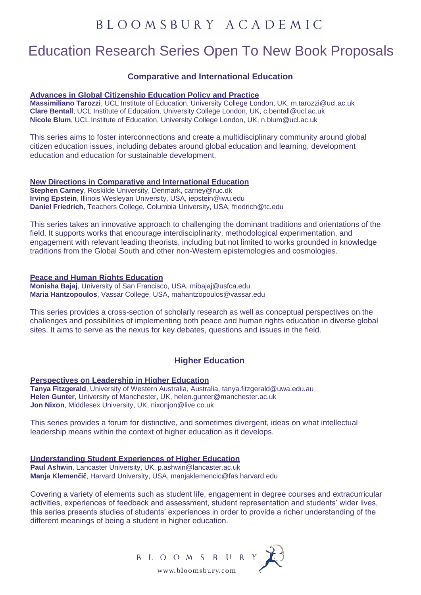## Education Research Series Open To New Book Proposals

### **Comparative and International Education**

#### **Advances in Global Citizenship Education Policy and Practice**

**Massimiliano Tarozzi**, UCL Institute of Education, University College London, UK, [m.tarozzi@ucl.ac.uk](mailto:m.tarozzi@ucl.ac.uk) **Clare Bentall**, UCL Institute of Education, University College London, UK, [c.bentall@ucl.ac.uk](mailto:c.bentall@ucl.ac.uk) **Nicole Blum**, UCL Institute of Education, University College London, UK, [n.blum@ucl.ac.uk](mailto:n.blum@ucl.ac.uk)

This series aims to foster interconnections and create a multidisciplinary community around global citizen education issues, including debates around global education and learning, development education and education for sustainable development.

#### **New Directions in Comparative and International Education**

**Stephen Carney**, Roskilde University, Denmark, [carney@ruc.dk](mailto:carney@ruc.dk) **Irving Epstein**, Illinois Wesleyan University, USA, [iepstein@iwu.edu](mailto:iepstein@iwu.edu) **Daniel Friedrich**, Teachers College, Columbia University, USA, [friedrich@tc.edu](mailto:friedrich@tc.edu)

This series takes an innovative approach to challenging the dominant traditions and orientations of the field. It supports works that encourage interdisciplinarity, methodological experimentation, and engagement with relevant leading theorists, including but not limited to works grounded in knowledge traditions from the Global South and other non-Western epistemologies and cosmologies.

### **Peace and Human Rights Education**

**Monisha Bajaj**, University of San Francisco, USA, [mibajaj@usfca.edu](mailto:mibajaj@usfca.edu) **Maria Hantzopoulos**, Vassar College, USA, [mahantzopoulos@vassar.edu](mailto:mahantzopoulos@vassar.edu)

This series provides a cross-section of scholarly research as well as conceptual perspectives on the challenges and possibilities of implementing both peace and human rights education in diverse global sites. It aims to serve as the nexus for key debates, questions and issues in the field.

### **Higher Education**

**Perspectives on Leadership in Higher Education**

**Tanya Fitzgerald**, University of Western Australia, Australia, [tanya.fitzgerald@uwa.edu.au](mailto:tanya.fitzgerald@uwa.edu.au) **Helen Gunter**, University of Manchester, UK, [helen.gunter@manchester.ac.uk](mailto:helen.gunter@manchester.ac.uk) **Jon Nixon**, Middlesex University, UK, [nixonjon@live.co.uk](mailto:nixonjon@live.co.uk)

This series provides a forum for distinctive, and sometimes divergent, ideas on what intellectual leadership means within the context of higher education as it develops.

#### **Understanding Student Experiences of Higher Education**

**Paul Ashwin**, Lancaster University, UK, [p.ashwin@lancaster.ac.uk](mailto:p.ashwin@lancaster.ac.uk) **Manja Klemenčič**, Harvard University, USA, [manjaklemencic@fas.harvard.edu](mailto:manjaklemencic@fas.harvard.edu)

Covering a variety of elements such as student life, engagement in degree courses and extracurricular activities, experiences of feedback and assessment, student representation and students' wider lives, this series presents studies of students' experiences in order to provide a richer understanding of the different meanings of being a student in higher education.

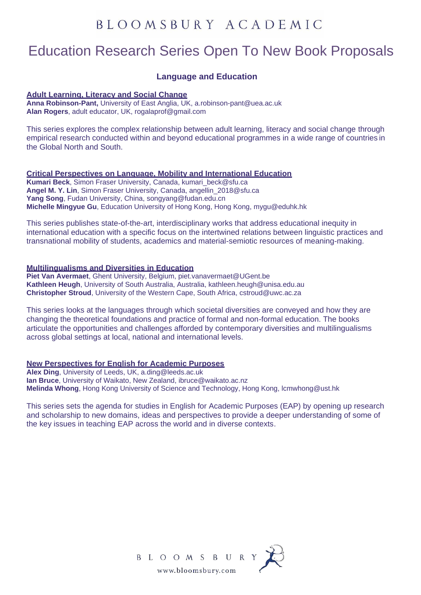## Education Research Series Open To New Book Proposals

### **Language and Education**

#### **Adult Learning, Literacy and Social Change**

**Anna Robinson-Pant,** University of East Anglia, UK, [a.robinson-pant@uea.ac.uk](mailto:a.robinson-pant@uea.ac.uk) **Alan Rogers**, adult educator, UK, [rogalaprof@gmail.com](mailto:rogalaprof@gmail.com)

This series explores the complex relationship between adult learning, literacy and social change through empirical research conducted within and beyond educational programmes in a wide range of countries in the Global North and South.

#### **Critical Perspectives on Language, Mobility and International Education**

**Kumari Beck**, Simon Fraser University, Canada, kumari\_beck@sfu.ca **Angel M. Y. Lin**, Simon Fraser University, Canada, angellin\_2018@sfu.ca **Yang Song**, Fudan University, China, songyang@fudan.edu.cn **Michelle Mingyue Gu**, Education University of Hong Kong, Hong Kong, mygu@eduhk.hk

This series publishes state-of-the-art, interdisciplinary works that address educational inequity in international education with a specific focus on the intertwined relations between linguistic practices and transnational mobility of students, academics and material-semiotic resources of meaning-making.

#### **Multilingualisms and Diversities in Education**

**Piet Van Avermaet**, Ghent University, Belgium, [piet.vanavermaet@UGent.be](mailto:piet.vanavermaet@UGent.be) **Kathleen Heugh**, University of South Australia, Australia, [kathleen.heugh@unisa.edu.au](mailto:kathleen.heugh@unisa.edu.au) **Christopher Stroud**, University of the Western Cape, South Africa, [cstroud@uwc.ac.za](mailto:cstroud@uwc.ac.za)

This series looks at the languages through which societal diversities are conveyed and how they are changing the theoretical foundations and practice of formal and non-formal education. The books articulate the opportunities and challenges afforded by contemporary diversities and multilingualisms across global settings at local, national and international levels.

### **New Perspectives for English for Academic Purposes**

**Alex Ding**, University of Leeds, UK, [a.ding@leeds.ac.uk](mailto:a.ding@leeds.ac.uk) **Ian Bruce**, University of Waikato, New Zealand, [ibruce@waikato.ac.nz](mailto:ibruce@waikato.ac.nz) **Melinda Whong**, Hong Kong University of Science and Technology, Hong Kong, [lcmwhong@ust.hk](mailto:lcmwhong@ust.hk)

This series sets the agenda for studies in English for Academic Purposes (EAP) by opening up research and scholarship to new domains, ideas and perspectives to provide a deeper understanding of some of the key issues in teaching EAP across the world and in diverse contexts.

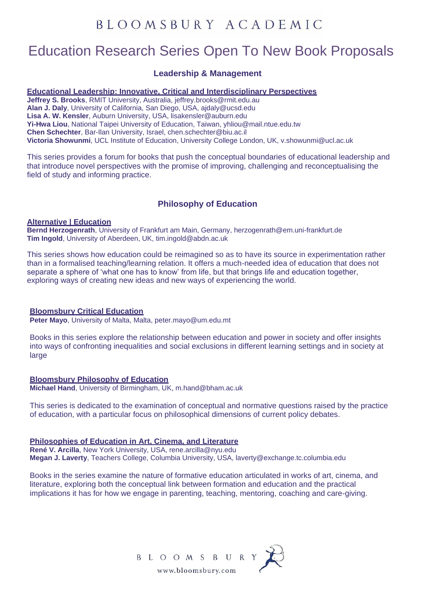## Education Research Series Open To New Book Proposals

### **Leadership & Management**

### **Educational Leadership: Innovative, Critical and Interdisciplinary Perspectives**

**Jeffrey S. Brooks**, RMIT University, Australia, jeffrey.brooks@rmit.edu.au **Alan J. Daly**, University of California, San Diego, USA, ajdaly@ucsd.edu **Lisa A. W. Kensler**, Auburn University, USA, lisakensler@auburn.edu **Yi-Hwa Liou**, National Taipei University of Education, Taiwan, yhliou@mail.ntue.edu.tw **Chen Schechter**, Bar-Ilan University, Israel, chen.schechter@biu.ac.il **Victoria Showunmi**, UCL Institute of Education, University College London, UK, v.showunmi@ucl.ac.uk

This series provides a forum for books that push the conceptual boundaries of educational leadership and that introduce novel perspectives with the promise of improving, challenging and reconceptualising the field of study and informing practice.

## **Philosophy of Education**

### **Alternative | Education**

**Bernd Herzogenrath**, University of Frankfurt am Main, Germany, [herzogenrath@em.uni-frankfurt.de](mailto:herzogenrath@em.uni-frankfurt.de) **Tim Ingold**, University of Aberdeen, UK, [tim.ingold@abdn.ac.uk](mailto:tim.ingold@abdn.ac.uk)

This series shows how education could be reimagined so as to have its source in experimentation rather than in a formalised teaching/learning relation. It offers a much-needed idea of education that does not separate a sphere of 'what one has to know' from life, but that brings life and education together, exploring ways of creating new ideas and new ways of experiencing the world.

#### **Bloomsbury Critical Education**

**Peter Mayo**, University of Malta, Malta, [peter.mayo@um.edu.mt](mailto:peter.mayo@um.edu.mt)

Books in this series explore the relationship between education and power in society and offer insights into ways of confronting inequalities and social exclusions in different learning settings and in society at large

## **Bloomsbury Philosophy of Education**

**Michael Hand**, University of Birmingham, UK, [m.hand@bham.ac.uk](mailto:m.hand@bham.ac.uk)

This series is dedicated to the examination of conceptual and normative questions raised by the practice of education, with a particular focus on philosophical dimensions of current policy debates.

#### **Philosophies of Education in Art, Cinema, and Literature**

**René V. Arcilla**, New York University, USA, [rene.arcilla@nyu.edu](mailto:rene.arcilla@nyu.edu) **Megan J. Laverty**, Teachers College, Columbia University, USA, [laverty@exchange.tc.columbia.edu](mailto:laverty@exchange.tc.columbia.edu)

Books in the series examine the nature of formative education articulated in works of art, cinema, and literature, exploring both the conceptual link between formation and education and the practical implications it has for how we engage in parenting, teaching, mentoring, coaching and care-giving.

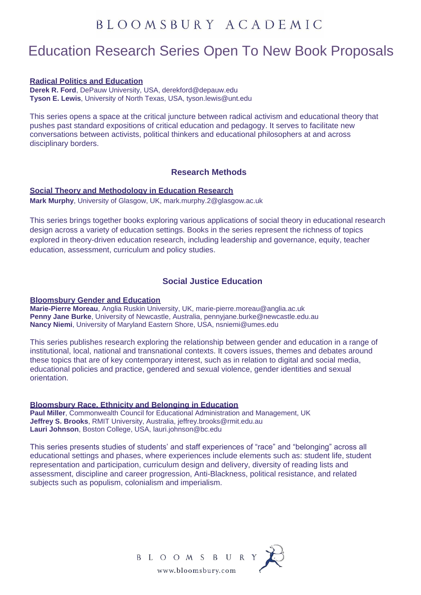# Education Research Series Open To New Book Proposals

#### **Radical Politics and Education**

**Derek R. Ford**, DePauw University, USA, [derekford@depauw.edu](mailto:derekford@depauw.edu) **Tyson E. Lewis**, University of North Texas, USA, [tyson.lewis@unt.edu](mailto:tyson.lewis@unt.edu)

This series opens a space at the critical juncture between radical activism and educational theory that pushes past standard expositions of critical education and pedagogy. It serves to facilitate new conversations between activists, political thinkers and educational philosophers at and across disciplinary borders.

### **Research Methods**

### **Social Theory and Methodology in Education Research**

**Mark Murphy**, University of Glasgow, UK, [mark.murphy.2@glasgow.ac.uk](mailto:mark.murphy.2@glasgow.ac.uk)

This series brings together books exploring various applications of social theory in educational research design across a variety of education settings. Books in the series represent the richness of topics explored in theory-driven education research, including leadership and governance, equity, teacher education, assessment, curriculum and policy studies.

### **Social Justice Education**

#### **Bloomsbury Gender and Education**

**Marie-Pierre Moreau**, Anglia Ruskin University, UK, [marie-pierre.moreau@anglia.ac.uk](mailto:marie-pierre.moreau@anglia.ac.uk) **Penny Jane Burke**, University of Newcastle, Australia, [pennyjane.burke@newcastle.edu.au](mailto:pennyjane.burke@newcastle.edu.au) **Nancy Niemi**, University of Maryland Eastern Shore, USA, [nsniemi@umes.edu](mailto:nsniemi@umes.edu)

This series publishes research exploring the relationship between gender and education in a range of institutional, local, national and transnational contexts. It covers issues, themes and debates around these topics that are of key contemporary interest, such as in relation to digital and social media, educational policies and practice, gendered and sexual violence, gender identities and sexual orientation.

### **Bloomsbury Race, Ethnicity and Belonging in Education**

**Paul Miller**, Commonwealth Council for Educational Administration and Management, UK **Jeffrey S. Brooks**, RMIT University, Australia, [jeffrey.brooks@rmit.edu.au](mailto:jeffrey.brooks@rmit.edu.au) **Lauri Johnson**, Boston College, USA, [lauri.johnson@bc.edu](mailto:lauri.johnson@bc.edu)

This series presents studies of students' and staff experiences of "race" and "belonging" across all educational settings and phases, where experiences include elements such as: student life, student representation and participation, curriculum design and delivery, diversity of reading lists and assessment, discipline and career progression, Anti-Blackness, political resistance, and related subjects such as populism, colonialism and imperialism.